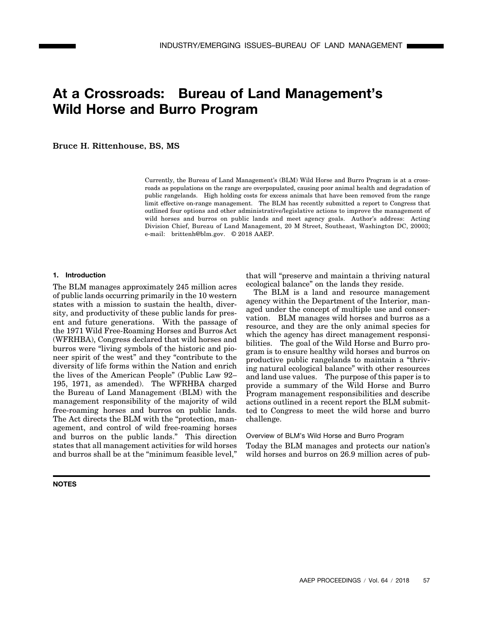# **At a Crossroads: Bureau of Land Management's Wild Horse and Burro Program**

Bruce H. Rittenhouse, BS, MS

Currently, the Bureau of Land Management's (BLM) Wild Horse and Burro Program is at a crossroads as populations on the range are overpopulated, causing poor animal health and degradation of public rangelands. High holding costs for excess animals that have been removed from the range limit effective on-range management. The BLM has recently submitted a report to Congress that outlined four options and other administrative/legislative actions to improve the management of wild horses and burros on public lands and meet agency goals. Author's address: Acting Division Chief, Bureau of Land Management, 20 M Street, Southeast, Washington DC, 20003; e-mail: brittenh@blm.gov. © 2018 AAEP.

## **1. Introduction**

The BLM manages approximately 245 million acres of public lands occurring primarily in the 10 western states with a mission to sustain the health, diversity, and productivity of these public lands for present and future generations. With the passage of the 1971 Wild Free-Roaming Horses and Burros Act (WFRHBA), Congress declared that wild horses and burros were "living symbols of the historic and pioneer spirit of the west" and they "contribute to the diversity of life forms within the Nation and enrich the lives of the American People" (Public Law 92– 195, 1971, as amended). The WFRHBA charged the Bureau of Land Management (BLM) with the management responsibility of the majority of wild free-roaming horses and burros on public lands. The Act directs the BLM with the "protection, management, and control of wild free-roaming horses and burros on the public lands." This direction states that all management activities for wild horses and burros shall be at the "minimum feasible level,"

#### **NOTES**

that will "preserve and maintain a thriving natural ecological balance" on the lands they reside.

The BLM is a land and resource management agency within the Department of the Interior, managed under the concept of multiple use and conservation. BLM manages wild horses and burros as a resource, and they are the only animal species for which the agency has direct management responsibilities. The goal of the Wild Horse and Burro program is to ensure healthy wild horses and burros on productive public rangelands to maintain a "thriving natural ecological balance" with other resources and land use values. The purpose of this paper is to provide a summary of the Wild Horse and Burro Program management responsibilities and describe actions outlined in a recent report the BLM submitted to Congress to meet the wild horse and burro challenge.

#### Overview of BLM's Wild Horse and Burro Program

Today the BLM manages and protects our nation's wild horses and burros on 26.9 million acres of pub-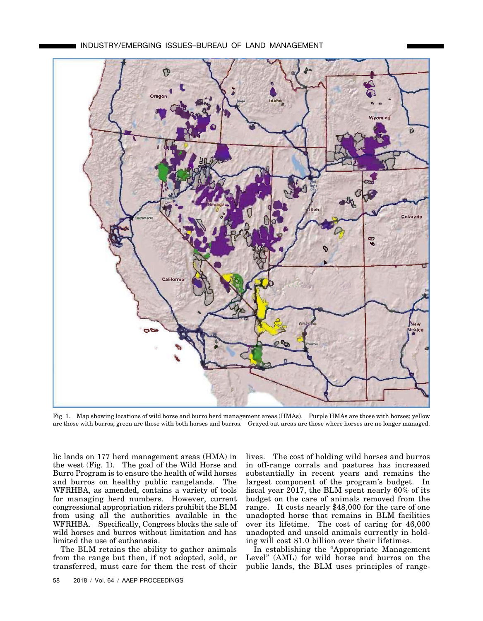

Fig. 1. Map showing locations of wild horse and burro herd management areas (HMAs). Purple HMAs are those with horses; yellow are those with burros; green are those with both horses and burros. Grayed out areas are those where horses are no longer managed.

lic lands on 177 herd management areas (HMA) in the west (Fig. 1). The goal of the Wild Horse and Burro Program is to ensure the health of wild horses and burros on healthy public rangelands. The WFRHBA, as amended, contains a variety of tools for managing herd numbers. However, current congressional appropriation riders prohibit the BLM from using all the authorities available in the WFRHBA. Specifically, Congress blocks the sale of wild horses and burros without limitation and has limited the use of euthanasia.

The BLM retains the ability to gather animals from the range but then, if not adopted, sold, or transferred, must care for them the rest of their lives. The cost of holding wild horses and burros in off-range corrals and pastures has increased substantially in recent years and remains the largest component of the program's budget. In fiscal year 2017, the BLM spent nearly 60% of its budget on the care of animals removed from the range. It costs nearly \$48,000 for the care of one unadopted horse that remains in BLM facilities over its lifetime. The cost of caring for 46,000 unadopted and unsold animals currently in holding will cost \$1.0 billion over their lifetimes.

In establishing the "Appropriate Management Level" (AML) for wild horse and burros on the public lands, the BLM uses principles of range-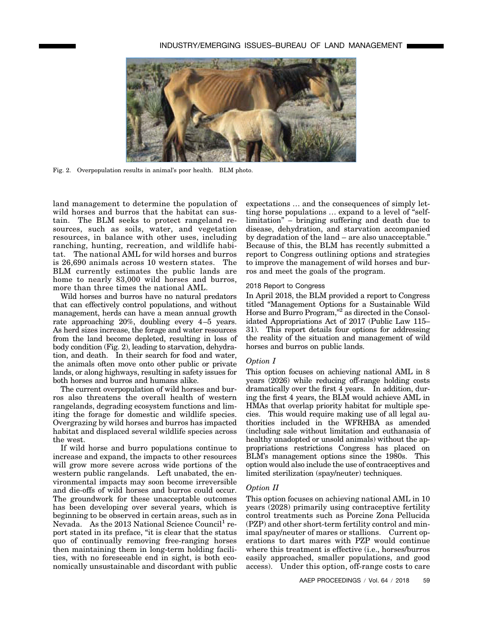

Fig. 2. Overpopulation results in animal's poor health. BLM photo.

land management to determine the population of wild horses and burros that the habitat can sustain. The BLM seeks to protect rangeland resources, such as soils, water, and vegetation resources, in balance with other uses, including ranching, hunting, recreation, and wildlife habitat. The national AML for wild horses and burros is 26,690 animals across 10 western states. The BLM currently estimates the public lands are home to nearly 83,000 wild horses and burros, more than three times the national AML.

Wild horses and burros have no natural predators that can effectively control populations, and without management, herds can have a mean annual growth rate approaching 20%, doubling every 4–5 years. As herd sizes increase, the forage and water resources from the land become depleted, resulting in loss of body condition (Fig. 2), leading to starvation, dehydration, and death. In their search for food and water, the animals often move onto other public or private lands, or along highways, resulting in safety issues for both horses and burros and humans alike.

The current overpopulation of wild horses and burros also threatens the overall health of western rangelands, degrading ecosystem functions and limiting the forage for domestic and wildlife species. Overgrazing by wild horses and burros has impacted habitat and displaced several wildlife species across the west.

If wild horse and burro populations continue to increase and expand, the impacts to other resources will grow more severe across wide portions of the western public rangelands. Left unabated, the environmental impacts may soon become irreversible and die-offs of wild horses and burros could occur. The groundwork for these unacceptable outcomes has been developing over several years, which is beginning to be observed in certain areas, such as in Nevada. As the 2013 National Science Council<sup>1</sup> report stated in its preface, "it is clear that the status quo of continually removing free-ranging horses then maintaining them in long-term holding facilities, with no foreseeable end in sight, is both economically unsustainable and discordant with public

expectations … and the consequences of simply letting horse populations … expand to a level of "selflimitation" – bringing suffering and death due to disease, dehydration, and starvation accompanied by degradation of the land – are also unacceptable." Because of this, the BLM has recently submitted a report to Congress outlining options and strategies to improve the management of wild horses and burros and meet the goals of the program.

#### 2018 Report to Congress

In April 2018, the BLM provided a report to Congress titled "Management Options for a Sustainable Wild Horse and Burro Program,"2 as directed in the Consolidated Appropriations Act of 2017 (Public Law 115– 31). This report details four options for addressing the reality of the situation and management of wild horses and burros on public lands.

### *Option I*

This option focuses on achieving national AML in 8 years (2026) while reducing off-range holding costs dramatically over the first 4 years. In addition, during the first 4 years, the BLM would achieve AML in HMAs that overlap priority habitat for multiple species. This would require making use of all legal authorities included in the WFRHBA as amended (including sale without limitation and euthanasia of healthy unadopted or unsold animals) without the appropriations restrictions Congress has placed on BLM's management options since the 1980s. This option would also include the use of contraceptives and limited sterilization (spay/neuter) techniques.

### *Option II*

This option focuses on achieving national AML in 10 years (2028) primarily using contraceptive fertility control treatments such as Porcine Zona Pellucida (PZP) and other short-term fertility control and minimal spay/neuter of mares or stallions. Current operations to dart mares with PZP would continue where this treatment is effective (i.e., horses/burros easily approached, smaller populations, and good access). Under this option, off-range costs to care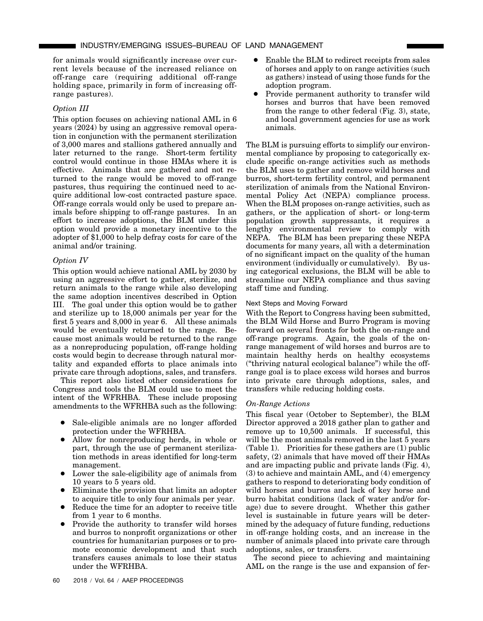for animals would significantly increase over current levels because of the increased reliance on off-range care (requiring additional off-range holding space, primarily in form of increasing offrange pastures).

# *Option III*

This option focuses on achieving national AML in 6 years (2024) by using an aggressive removal operation in conjunction with the permanent sterilization of 3,000 mares and stallions gathered annually and later returned to the range. Short-term fertility control would continue in those HMAs where it is effective. Animals that are gathered and not returned to the range would be moved to off-range pastures, thus requiring the continued need to acquire additional low-cost contracted pasture space. Off-range corrals would only be used to prepare animals before shipping to off-range pastures. In an effort to increase adoptions, the BLM under this option would provide a monetary incentive to the adopter of \$1,000 to help defray costs for care of the animal and/or training.

# *Option IV*

This option would achieve national AML by 2030 by using an aggressive effort to gather, sterilize, and return animals to the range while also developing the same adoption incentives described in Option III. The goal under this option would be to gather and sterilize up to 18,000 animals per year for the first 5 years and 8,000 in year 6. All these animals would be eventually returned to the range. Because most animals would be returned to the range as a nonreproducing population, off-range holding costs would begin to decrease through natural mortality and expanded efforts to place animals into private care through adoptions, sales, and transfers.

This report also listed other considerations for Congress and tools the BLM could use to meet the intent of the WFRHBA. These include proposing amendments to the WFRHBA such as the following:

- Sale-eligible animals are no longer afforded protection under the WFRHBA.
- Allow for nonreproducing herds, in whole or part, through the use of permanent sterilization methods in areas identified for long-term management.
- Lower the sale-eligibility age of animals from 10 years to 5 years old.
- Eliminate the provision that limits an adopter to acquire title to only four animals per year.
- Reduce the time for an adopter to receive title from 1 year to 6 months.
- Provide the authority to transfer wild horses and burros to nonprofit organizations or other countries for humanitarian purposes or to promote economic development and that such transfers causes animals to lose their status under the WFRHBA.
- Enable the BLM to redirect receipts from sales of horses and apply to on range activities (such as gathers) instead of using those funds for the adoption program.
- Provide permanent authority to transfer wild horses and burros that have been removed from the range to other federal (Fig. 3), state, and local government agencies for use as work animals.

The BLM is pursuing efforts to simplify our environmental compliance by proposing to categorically exclude specific on-range activities such as methods the BLM uses to gather and remove wild horses and burros, short-term fertility control, and permanent sterilization of animals from the National Environmental Policy Act (NEPA) compliance process. When the BLM proposes on-range activities, such as gathers, or the application of short- or long-term population growth suppressants, it requires a lengthy environmental review to comply with NEPA. The BLM has been preparing these NEPA documents for many years, all with a determination of no significant impact on the quality of the human environment (individually or cumulatively). By using categorical exclusions, the BLM will be able to streamline our NEPA compliance and thus saving staff time and funding.

## Next Steps and Moving Forward

With the Report to Congress having been submitted, the BLM Wild Horse and Burro Program is moving forward on several fronts for both the on-range and off-range programs. Again, the goals of the onrange management of wild horses and burros are to maintain healthy herds on healthy ecosystems ("thriving natural ecological balance") while the offrange goal is to place excess wild horses and burros into private care through adoptions, sales, and transfers while reducing holding costs.

# *On-Range Actions*

This fiscal year (October to September), the BLM Director approved a 2018 gather plan to gather and remove up to 10,500 animals. If successful, this will be the most animals removed in the last 5 years (Table 1). Priorities for these gathers are (1) public safety, (2) animals that have moved off their HMAs and are impacting public and private lands (Fig. 4), (3) to achieve and maintain AML, and (4) emergency gathers to respond to deteriorating body condition of wild horses and burros and lack of key horse and burro habitat conditions (lack of water and/or forage) due to severe drought. Whether this gather level is sustainable in future years will be determined by the adequacy of future funding, reductions in off-range holding costs, and an increase in the number of animals placed into private care through adoptions, sales, or transfers.

The second piece to achieving and maintaining AML on the range is the use and expansion of fer-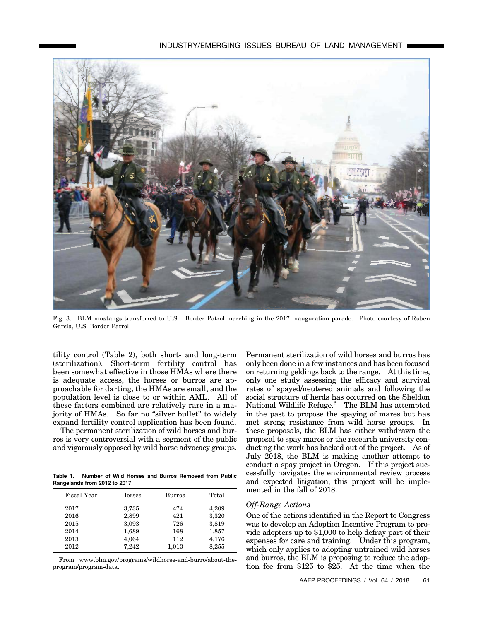

Fig. 3. BLM mustangs transferred to U.S. Border Patrol marching in the 2017 inauguration parade. Photo courtesy of Ruben Garcia, U.S. Border Patrol.

tility control (Table 2), both short- and long-term (sterilization). Short-term fertility control has been somewhat effective in those HMAs where there is adequate access, the horses or burros are approachable for darting, the HMAs are small, and the population level is close to or within AML. All of these factors combined are relatively rare in a majority of HMAs. So far no "silver bullet" to widely expand fertility control application has been found.

The permanent sterilization of wild horses and burros is very controversial with a segment of the public and vigorously opposed by wild horse advocacy groups.

**Table 1. Number of Wild Horses and Burros Removed from Public Rangelands from 2012 to 2017**

| Fiscal Year | <b>Horses</b> | Burros | Total |
|-------------|---------------|--------|-------|
| 2017        | 3,735         | 474    | 4,209 |
| 2016        | 2,899         | 421    | 3,320 |
| 2015        | 3,093         | 726    | 3,819 |
| 2014        | 1,689         | 168    | 1,857 |
| 2013        | 4,064         | 112    | 4,176 |
| 2012        | 7,242         | 1,013  | 8,255 |

From www.blm.gov/programs/wildhorse-and-burro/about-theprogram/program-data.

Permanent sterilization of wild horses and burros has only been done in a few instances and has been focused on returning geldings back to the range. At this time, only one study assessing the efficacy and survival rates of spayed/neutered animals and following the social structure of herds has occurred on the Sheldon National Wildlife Refuge.<sup>3</sup> The BLM has attempted in the past to propose the spaying of mares but has met strong resistance from wild horse groups. In these proposals, the BLM has either withdrawn the proposal to spay mares or the research university conducting the work has backed out of the project. As of July 2018, the BLM is making another attempt to conduct a spay project in Oregon. If this project successfully navigates the environmental review process and expected litigation, this project will be implemented in the fall of 2018.

#### *Off-Range Actions*

One of the actions identified in the Report to Congress was to develop an Adoption Incentive Program to provide adopters up to \$1,000 to help defray part of their expenses for care and training. Under this program, which only applies to adopting untrained wild horses and burros, the BLM is proposing to reduce the adoption fee from \$125 to \$25. At the time when the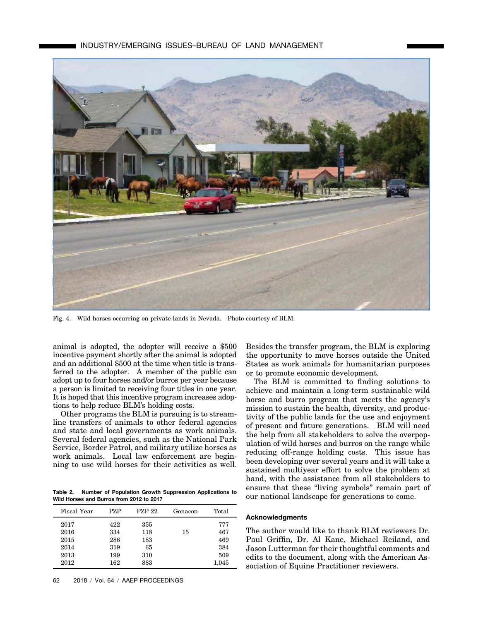

Fig. 4. Wild horses occurring on private lands in Nevada. Photo courtesy of BLM.

animal is adopted, the adopter will receive a \$500 incentive payment shortly after the animal is adopted and an additional \$500 at the time when title is transferred to the adopter. A member of the public can adopt up to four horses and/or burros per year because a person is limited to receiving four titles in one year. It is hoped that this incentive program increases adoptions to help reduce BLM's holding costs.

Other programs the BLM is pursuing is to streamline transfers of animals to other federal agencies and state and local governments as work animals. Several federal agencies, such as the National Park Service, Border Patrol, and military utilize horses as work animals. Local law enforcement are beginning to use wild horses for their activities as well.

**Table 2. Number of Population Growth Suppression Applications to Wild Horses and Burros from 2012 to 2017**

| Fiscal Year | <b>PZP</b> | <b>PZP-22</b> | Gonacon | Total |
|-------------|------------|---------------|---------|-------|
| 2017        | 422        | 355           |         | 777   |
| 2016        | 334        | 118           | 15      | 467   |
| 2015        | 286        | 183           |         | 469   |
| 2014        | 319        | 65            |         | 384   |
| 2013        | 199        | 310           |         | 509   |
| 2012        | 162        | 883           |         | 1,045 |

Besides the transfer program, the BLM is exploring the opportunity to move horses outside the United States as work animals for humanitarian purposes or to promote economic development.

The BLM is committed to finding solutions to achieve and maintain a long-term sustainable wild horse and burro program that meets the agency's mission to sustain the health, diversity, and productivity of the public lands for the use and enjoyment of present and future generations. BLM will need the help from all stakeholders to solve the overpopulation of wild horses and burros on the range while reducing off-range holding costs. This issue has been developing over several years and it will take a sustained multiyear effort to solve the problem at hand, with the assistance from all stakeholders to ensure that these "living symbols" remain part of our national landscape for generations to come.

## **Acknowledgments**

The author would like to thank BLM reviewers Dr. Paul Griffin, Dr. Al Kane, Michael Reiland, and Jason Lutterman for their thoughtful comments and edits to the document, along with the American Association of Equine Practitioner reviewers.